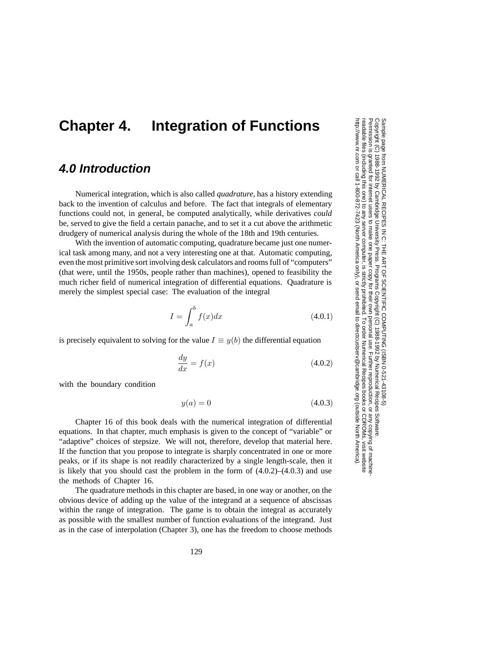## **Chapter 4. Integration of Functions**

## **4.0 Introduction**

Numerical integration, which is also called *quadrature*, has a history extending back to the invention of calculus and before. The fact that integrals of elementary functions could not, in general, be computed analytically, while derivatives *could* be, served to give the field a certain panache, and to set it a cut above the arithmetic drudgery of numerical analysis during the whole of the 18th and 19th centuries.

With the invention of automatic computing, quadrature became just one numerical task among many, and not a very interesting one at that. Automatic computing, even the most primitive sort involving desk calculators and rooms full of "computers" (that were, until the 1950s, people rather than machines), opened to feasibility the much richer field of numerical integration of differential equations. Quadrature is merely the simplest special case: The evaluation of the integral

$$
I = \int_{a}^{b} f(x)dx
$$
\n(4.0.1)

is precisely equivalent to solving for the value  $I \equiv y(b)$  the differential equation

$$
\frac{dy}{dx} = f(x) \tag{4.0.2}
$$

with the boundary condition

$$
y(a) = 0 \tag{4.0.3}
$$

Chapter 16 of this book deals with the numerical integration of differential equations. In that chapter, much emphasis is given to the concept of "variable" or "adaptive" choices of stepsize. We will not, therefore, develop that material here. If the function that you propose to integrate is sharply concentrated in one or more peaks, or if its shape is not readily characterized by a single length-scale, then it is likely that you should cast the problem in the form of (4.0.2)–(4.0.3) and use the methods of Chapter 16.

The quadrature methods in this chapter are based, in one way or another, on the obvious device of adding up the value of the integrand at a sequence of abscissas within the range of integration. The game is to obtain the integral as accurately as possible with the smallest number of function evaluations of the integrand. Just as in the case of interpolation (Chapter 3), one has the freedom to choose methods

Permission is granted for internet users to make one paper copy for their own personal use. Further reproduction, or any copyin Copyright (C) 1988-1992 by Cambridge University Press.Sample page from NUMERICAL RECIPES IN C: THE ART OF SCIENTIFIC COMPUTING (ISBN 0-521-43108-5)<br>Copyright (C) 1988-1992 by Cambridge University Press. Programs Copyright (C) 1988-1992 by Numerical Recipes Software. Programs Copyright (C) 1988-1992 by Numerical Recipes Software. Sample page from NUMERICAL RECIPES IN C: THE ART OF SCIENTIFIC COMPUTING (ISBN 0-521-43108-5) g of machinereadable files (including this one) to any servercomputer, is strictly prohibited. To order Numerical Recipes booksor CDROMs, visit website http://www.nr.com or call 1-800-872-7423 (North America only),or send email to directcustserv@cambridge.org (outside North America).